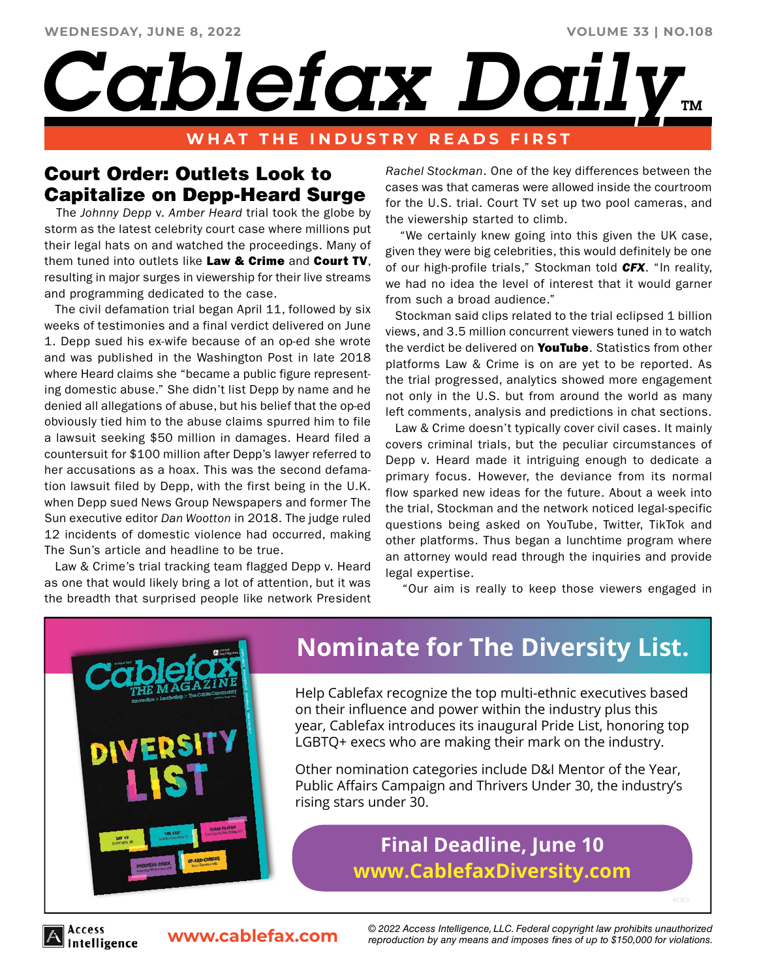#### **VOLUME 33 | NO.108**

# *Cablefax Dail<sup>®</sup>*

### **WHAT THE INDUSTRY READS FIRST**

## Court Order: Outlets Look to Capitalize on Depp-Heard Surge

 The *Johnny Depp* v. *Amber Heard* trial took the globe by storm as the latest celebrity court case where millions put their legal hats on and watched the proceedings. Many of them tuned into outlets like Law & Crime and Court TV. resulting in major surges in viewership for their live streams and programming dedicated to the case.

 The civil defamation trial began April 11, followed by six weeks of testimonies and a final verdict delivered on June 1. Depp sued his ex-wife because of an op-ed she wrote and was published in the Washington Post in late 2018 where Heard claims she "became a public figure representing domestic abuse." She didn't list Depp by name and he denied all allegations of abuse, but his belief that the op-ed obviously tied him to the abuse claims spurred him to file a lawsuit seeking \$50 million in damages. Heard filed a countersuit for \$100 million after Depp's lawyer referred to her accusations as a hoax. This was the second defamation lawsuit filed by Depp, with the first being in the U.K. when Depp sued News Group Newspapers and former The Sun executive editor *Dan Wootton* in 2018. The judge ruled 12 incidents of domestic violence had occurred, making The Sun's article and headline to be true.

 Law & Crime's trial tracking team flagged Depp v. Heard as one that would likely bring a lot of attention, but it was the breadth that surprised people like network President *Rachel Stockman*. One of the key differences between the cases was that cameras were allowed inside the courtroom for the U.S. trial. Court TV set up two pool cameras, and the viewership started to climb.

 "We certainly knew going into this given the UK case, given they were big celebrities, this would definitely be one of our high-profile trials," Stockman told *CFX*. "In reality, we had no idea the level of interest that it would garner from such a broad audience."

 Stockman said clips related to the trial eclipsed 1 billion views, and 3.5 million concurrent viewers tuned in to watch the verdict be delivered on **YouTube**. Statistics from other platforms Law & Crime is on are yet to be reported. As the trial progressed, analytics showed more engagement not only in the U.S. but from around the world as many left comments, analysis and predictions in chat sections.

 Law & Crime doesn't typically cover civil cases. It mainly covers criminal trials, but the peculiar circumstances of Depp v. Heard made it intriguing enough to dedicate a primary focus. However, the deviance from its normal flow sparked new ideas for the future. About a week into the trial, Stockman and the network noticed legal-specific questions being asked on YouTube, Twitter, TikTok and other platforms. Thus began a lunchtime program where an attorney would read through the inquiries and provide legal expertise.

"Our aim is really to keep those viewers engaged in



Access

## **[Nominate for The Diversity List.](http://www.cablefaxdiversity.com/)**

Help Cablefax recognize the top multi-ethnic executives based on their influence and power within the industry plus this year, Cablefax introduces its inaugural Pride List, honoring top LGBTQ+ execs who are making their mark on the industry.

Other nomination categories include D&I Mentor of the Year, Public Affairs Campaign and Thrivers Under 30, the industry's rising stars under 30.

## **Final Deadline, June 10 www.CablefaxDiversity.com**

ntelligence

**www.cablefax.com** *© 2022 Access Intelligence, LLC. Federal copyright law prohibits unauthorized reproduction by any means and imposes fines of up to \$150,000 for violations.*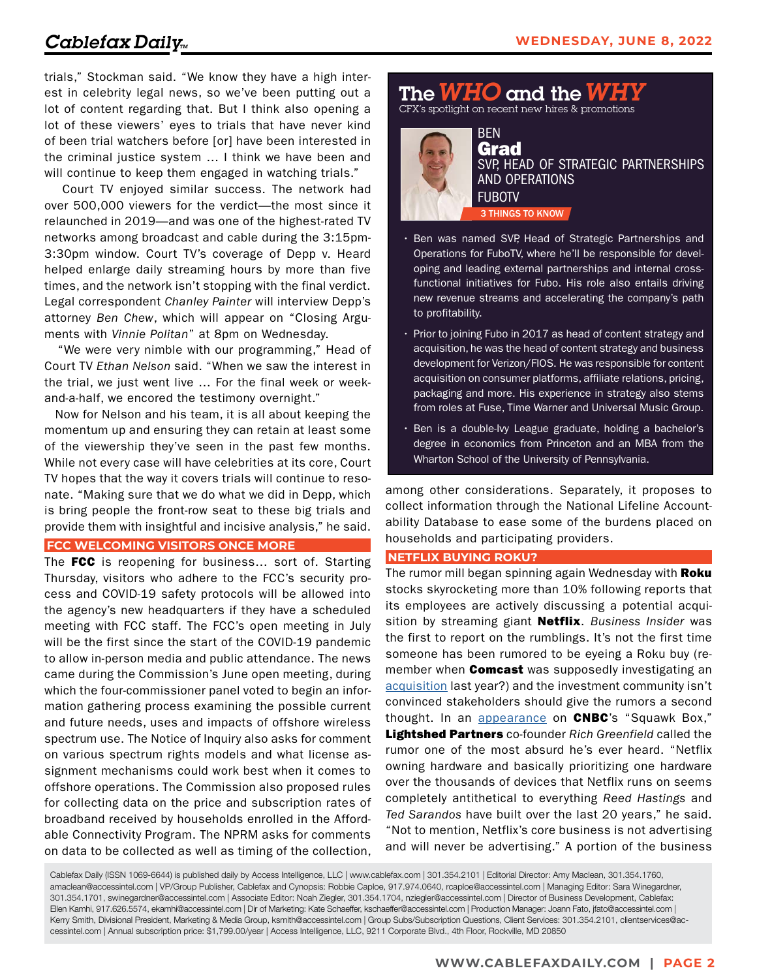trials," Stockman said. "We know they have a high interest in celebrity legal news, so we've been putting out a lot of content regarding that. But I think also opening a lot of these viewers' eyes to trials that have never kind of been trial watchers before [or] have been interested in the criminal justice system … I think we have been and will continue to keep them engaged in watching trials."

 Court TV enjoyed similar success. The network had over 500,000 viewers for the verdict—the most since it relaunched in 2019—and was one of the highest-rated TV networks among broadcast and cable during the 3:15pm-3:30pm window. Court TV's coverage of Depp v. Heard helped enlarge daily streaming hours by more than five times, and the network isn't stopping with the final verdict. Legal correspondent *Chanley Painter* will interview Depp's attorney *Ben Chew*, which will appear on "Closing Arguments with *Vinnie Politan*" at 8pm on Wednesday.

 "We were very nimble with our programming," Head of Court TV *Ethan Nelson* said. "When we saw the interest in the trial, we just went live … For the final week or weekand-a-half, we encored the testimony overnight."

 Now for Nelson and his team, it is all about keeping the momentum up and ensuring they can retain at least some of the viewership they've seen in the past few months. While not every case will have celebrities at its core, Court TV hopes that the way it covers trials will continue to resonate. "Making sure that we do what we did in Depp, which is bring people the front-row seat to these big trials and provide them with insightful and incisive analysis," he said.

#### **FCC WELCOMING VISITORS ONCE MORE**

The FCC is reopening for business... sort of. Starting Thursday, visitors who adhere to the FCC's security process and COVID-19 safety protocols will be allowed into the agency's new headquarters if they have a scheduled meeting with FCC staff. The FCC's open meeting in July will be the first since the start of the COVID-19 pandemic to allow in-person media and public attendance. The news came during the Commission's June open meeting, during which the four-commissioner panel voted to begin an information gathering process examining the possible current and future needs, uses and impacts of offshore wireless spectrum use. The Notice of Inquiry also asks for comment on various spectrum rights models and what license assignment mechanisms could work best when it comes to offshore operations. The Commission also proposed rules for collecting data on the price and subscription rates of broadband received by households enrolled in the Affordable Connectivity Program. The NPRM asks for comments on data to be collected as well as timing of the collection,

The*WHO* and the*WHY* CFX's spotlight on recent new hires & promotions

BEN



Grad 3 THINGS TO KNOW SVP, HEAD OF STRATEGIC PARTNERSHIPS AND OPERATIONS **FUBOTV** 

- Ben was named SVP, Head of Strategic Partnerships and Operations for FuboTV, where he'll be responsible for developing and leading external partnerships and internal crossfunctional initiatives for Fubo. His role also entails driving new revenue streams and accelerating the company's path to profitability.
- Prior to joining Fubo in 2017 as head of content strategy and acquisition, he was the head of content strategy and business development for Verizon/FIOS. He was responsible for content acquisition on consumer platforms, affiliate relations, pricing, packaging and more. His experience in strategy also stems from roles at Fuse, Time Warner and Universal Music Group.
- Ben is a double-Ivy League graduate, holding a bachelor's degree in economics from Princeton and an MBA from the Wharton School of the University of Pennsylvania.

among other considerations. Separately, it proposes to collect information through the National Lifeline Accountability Database to ease some of the burdens placed on households and participating providers.

#### **NETFLIX BUYING ROKU?**

The rumor mill began spinning again Wednesday with Roku stocks skyrocketing more than 10% following reports that its employees are actively discussing a potential acquisition by streaming giant Netflix. *Business Insider* was the first to report on the rumblings. It's not the first time someone has been rumored to be eyeing a Roku buy (remember when **Comcast** was supposedly investigating an [acquisition](https://www.cablefax.com/distribution/will-they-or-wont-they-plenty-of-reactions-to-comcast-ma-rumors) last year?) and the investment community isn't convinced stakeholders should give the rumors a second thought. In an [appearance](https://www.cnbc.com/video/2022/06/08/netflix-acquiring-roku-would-be-absurd-says-lightsheds-rich-greenfield.html?__source=sharebar|twitter&par=sharebar) on **CNBC**'s "Squawk Box," Lightshed Partners co-founder *Rich Greenfield* called the rumor one of the most absurd he's ever heard. "Netflix owning hardware and basically prioritizing one hardware over the thousands of devices that Netflix runs on seems completely antithetical to everything *Reed Hastings* and *Ted Sarandos* have built over the last 20 years," he said. "Not to mention, Netflix's core business is not advertising and will never be advertising." A portion of the business

Cablefax Daily (ISSN 1069-6644) is published daily by Access Intelligence, LLC | www.cablefax.com | 301.354.2101 | Editorial Director: Amy Maclean, 301.354.1760, amaclean@accessintel.com | VP/Group Publisher, Cablefax and Cynopsis: Robbie Caploe, 917.974.0640, rcaploe@accessintel.com | Managing Editor: Sara Winegardner, 301.354.1701, swinegardner@accessintel.com | Associate Editor: Noah Ziegler, 301.354.1704, nziegler@accessintel.com | Director of Business Development, Cablefax: Ellen Kamhi, 917.626.5574, ekamhi@accessintel.com | Dir of Marketing: Kate Schaeffer, kschaeffer@accessintel.com | Production Manager: Joann Fato, jfato@accessintel.com | Kerry Smith, Divisional President, Marketing & Media Group, ksmith@accessintel.com | Group Subs/Subscription Questions, Client Services: 301.354.2101, clientservices@accessintel.com | Annual subscription price: \$1,799.00/year | Access Intelligence, LLC, 9211 Corporate Blvd., 4th Floor, Rockville, MD 20850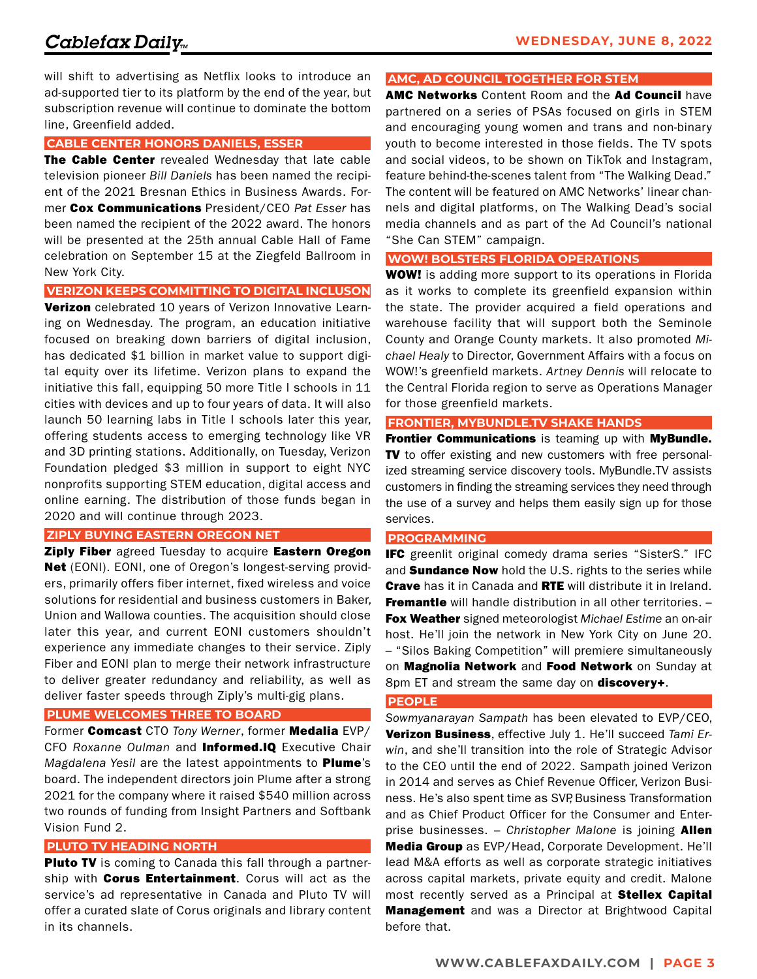will shift to advertising as Netflix looks to introduce an ad-supported tier to its platform by the end of the year, but subscription revenue will continue to dominate the bottom line, Greenfield added.

#### **CABLE CENTER HONORS DANIELS, ESSER**

The Cable Center revealed Wednesday that late cable television pioneer *Bill Daniels* has been named the recipient of the 2021 Bresnan Ethics in Business Awards. Former Cox Communications President/CEO *Pat Esser* has been named the recipient of the 2022 award. The honors will be presented at the 25th annual Cable Hall of Fame celebration on September 15 at the Ziegfeld Ballroom in New York City.

#### **VERIZON KEEPS COMMITTING TO DIGITAL INCLUSON**

**Verizon** celebrated 10 years of Verizon Innovative Learning on Wednesday. The program, an education initiative focused on breaking down barriers of digital inclusion, has dedicated \$1 billion in market value to support digital equity over its lifetime. Verizon plans to expand the initiative this fall, equipping 50 more Title I schools in 11 cities with devices and up to four years of data. It will also launch 50 learning labs in Title I schools later this year, offering students access to emerging technology like VR and 3D printing stations. Additionally, on Tuesday, Verizon Foundation pledged \$3 million in support to eight NYC nonprofits supporting STEM education, digital access and online earning. The distribution of those funds began in 2020 and will continue through 2023.

#### **ZIPLY BUYING EASTERN OREGON NET**

Ziply Fiber agreed Tuesday to acquire Eastern Oregon Net (EONI). EONI, one of Oregon's longest-serving providers, primarily offers fiber internet, fixed wireless and voice solutions for residential and business customers in Baker, Union and Wallowa counties. The acquisition should close later this year, and current EONI customers shouldn't experience any immediate changes to their service. Ziply Fiber and EONI plan to merge their network infrastructure to deliver greater redundancy and reliability, as well as deliver faster speeds through Ziply's multi-gig plans.

#### **PLUME WELCOMES THREE TO BOARD**

Former Comcast CTO *Tony Werner*, former Medalia EVP/ CFO *Roxanne Oulman* and Informed.IQ Executive Chair *Magdalena Yesil* are the latest appointments to Plume's board. The independent directors join Plume after a strong 2021 for the company where it raised \$540 million across two rounds of funding from Insight Partners and Softbank Vision Fund 2.

#### **PLUTO TV HEADING NORTH**

Pluto TV is coming to Canada this fall through a partnership with **Corus Entertainment**. Corus will act as the service's ad representative in Canada and Pluto TV will offer a curated slate of Corus originals and library content in its channels.

#### **AMC, AD COUNCIL TOGETHER FOR STEM**

AMC Networks Content Room and the Ad Council have partnered on a series of PSAs focused on girls in STEM and encouraging young women and trans and non-binary youth to become interested in those fields. The TV spots and social videos, to be shown on TikTok and Instagram, feature behind-the-scenes talent from "The Walking Dead." The content will be featured on AMC Networks' linear channels and digital platforms, on The Walking Dead's social media channels and as part of the Ad Council's national "She Can STEM" campaign.

#### **WOW! BOLSTERS FLORIDA OPERATIONS**

**WOW!** is adding more support to its operations in Florida as it works to complete its greenfield expansion within the state. The provider acquired a field operations and warehouse facility that will support both the Seminole County and Orange County markets. It also promoted *Michael Healy* to Director, Government Affairs with a focus on WOW!'s greenfield markets. *Artney Dennis* will relocate to the Central Florida region to serve as Operations Manager for those greenfield markets.

#### **FRONTIER, MYBUNDLE.TV SHAKE HANDS**

Frontier Communications is teaming up with MyBundle. TV to offer existing and new customers with free personalized streaming service discovery tools. MyBundle.TV assists customers in finding the streaming services they need through the use of a survey and helps them easily sign up for those services.

#### **PROGRAMMING**

IFC greenlit original comedy drama series "SisterS." IFC and **Sundance Now** hold the U.S. rights to the series while **Crave** has it in Canada and RTE will distribute it in Ireland. **Fremantle** will handle distribution in all other territories. -Fox Weather signed meteorologist *Michael Estime* an on-air host. He'll join the network in New York City on June 20. – "Silos Baking Competition" will premiere simultaneously on Magnolia Network and Food Network on Sunday at 8pm ET and stream the same day on **discovery+**.

#### **PEOPLE**

*Sowmyanarayan Sampath* has been elevated to EVP/CEO, Verizon Business, effective July 1. He'll succeed *Tami Erwin*, and she'll transition into the role of Strategic Advisor to the CEO until the end of 2022. Sampath joined Verizon in 2014 and serves as Chief Revenue Officer, Verizon Business. He's also spent time as SVP, Business Transformation and as Chief Product Officer for the Consumer and Enterprise businesses. – *Christopher Malone* is joining Allen Media Group as EVP/Head, Corporate Development. He'll lead M&A efforts as well as corporate strategic initiatives across capital markets, private equity and credit. Malone most recently served as a Principal at **Stellex Capital Management** and was a Director at Brightwood Capital before that.